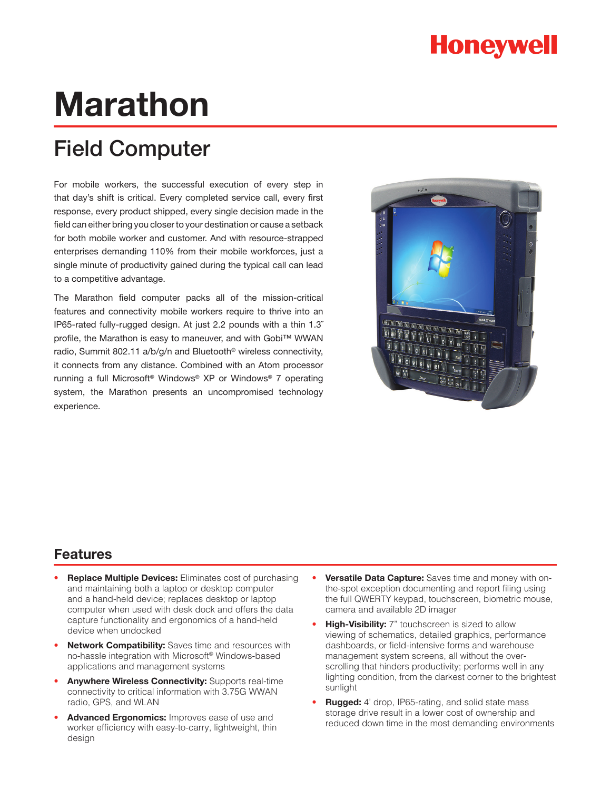# **Honeywell**

# **Marathon**

# Field Computer

For mobile workers, the successful execution of every step in that day's shift is critical. Every completed service call, every first response, every product shipped, every single decision made in the field can either bring you closer to your destination or cause a setback for both mobile worker and customer. And with resource-strapped enterprises demanding 110% from their mobile workforces, just a single minute of productivity gained during the typical call can lead to a competitive advantage.

The Marathon field computer packs all of the mission-critical features and connectivity mobile workers require to thrive into an IP65-rated fully-rugged design. At just 2.2 pounds with a thin 1.3˝ profile, the Marathon is easy to maneuver, and with Gobi™ WWAN radio, Summit 802.11 a/b/g/n and Bluetooth® wireless connectivity, it connects from any distance. Combined with an Atom processor running a full Microsoft® Windows® XP or Windows® 7 operating system, the Marathon presents an uncompromised technology experience.



## **Features**

- **Replace Multiple Devices:** Eliminates cost of purchasing and maintaining both a laptop or desktop computer and a hand-held device; replaces desktop or laptop computer when used with desk dock and offers the data capture functionality and ergonomics of a hand-held device when undocked
- **Network Compatibility:** Saves time and resources with no-hassle integration with Microsoft® Windows-based applications and management systems
- Anywhere Wireless Connectivity: Supports real-time connectivity to critical information with 3.75G WWAN radio, GPS, and WLAN
- Advanced Ergonomics: Improves ease of use and worker efficiency with easy-to-carry, lightweight, thin design
- **Versatile Data Capture:** Saves time and money with onthe-spot exception documenting and report filing using the full QWERTY keypad, touchscreen, biometric mouse, camera and available 2D imager
- **High-Visibility:** 7" touchscreen is sized to allow viewing of schematics, detailed graphics, performance dashboards, or field-intensive forms and warehouse management system screens, all without the overscrolling that hinders productivity; performs well in any lighting condition, from the darkest corner to the brightest sunlight
- **Rugged:** 4' drop, IP65-rating, and solid state mass storage drive result in a lower cost of ownership and reduced down time in the most demanding environments